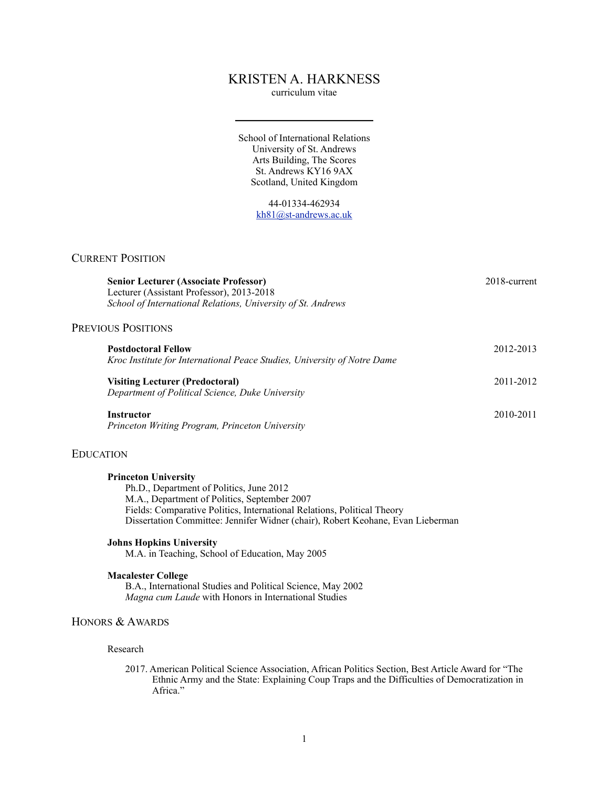# KRISTEN A. HARKNESS

curriculum vitae

School of International Relations University of St. Andrews Arts Building, The Scores St. Andrews KY16 9AX Scotland, United Kingdom

> 44-01334-462934 [kh81@st-andrews.ac.uk](mailto:kh81@st-andrews.ac.uk)

## CURRENT POSITION

| <b>Senior Lecturer (Associate Professor)</b><br>Lecturer (Assistant Professor), 2013-2018<br>School of International Relations, University of St. Andrews | 2018-current |
|-----------------------------------------------------------------------------------------------------------------------------------------------------------|--------------|
| <b>PREVIOUS POSITIONS</b>                                                                                                                                 |              |
| <b>Postdoctoral Fellow</b><br>Kroc Institute for International Peace Studies, University of Notre Dame                                                    | 2012-2013    |
| Visiting Lecturer (Predoctoral)<br>Department of Political Science, Duke University                                                                       | 2011-2012    |
| <b>Instructor</b><br>Princeton Writing Program, Princeton University                                                                                      | 2010-2011    |

## EDUCATION

## **Princeton University**

Ph.D., Department of Politics, June 2012 M.A., Department of Politics, September 2007 Fields: Comparative Politics, International Relations, Political Theory Dissertation Committee: Jennifer Widner (chair), Robert Keohane, Evan Lieberman

#### **Johns Hopkins University**

M.A. in Teaching, School of Education, May 2005

## **Macalester College**

B.A., International Studies and Political Science, May 2002 *Magna cum Laude* with Honors in International Studies

## HONORS & AWARDS

## Research

2017. American Political Science Association, African Politics Section, Best Article Award for "The Ethnic Army and the State: Explaining Coup Traps and the Difficulties of Democratization in Africa."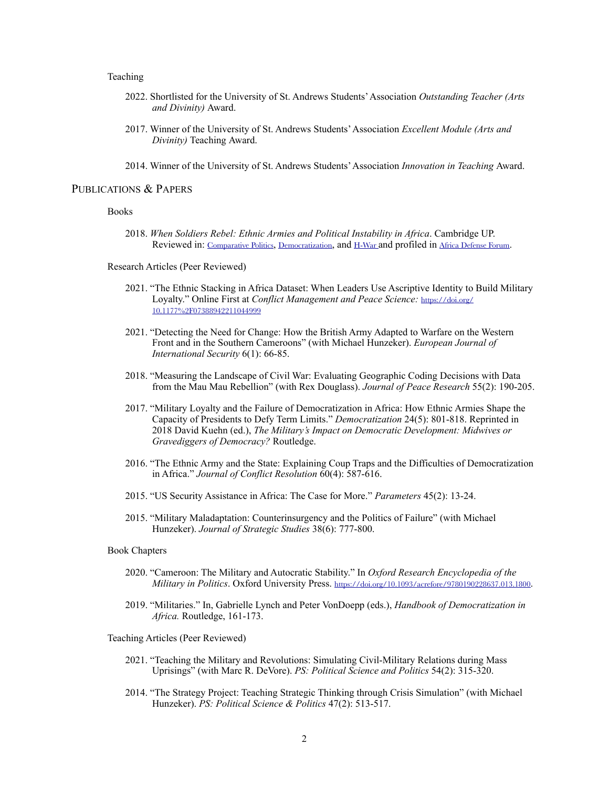## Teaching

- 2022. Shortlisted for the University of St. Andrews Students' Association *Outstanding Teacher (Arts and Divinity)* Award.
- 2017. Winner of the University of St. Andrews Students' Association *Excellent Module (Arts and Divinity)* Teaching Award.
- 2014. Winner of the University of St. Andrews Students' Association *Innovation in Teaching* Award.

### PUBLICATIONS & PAPERS

#### Books

2018. *When Soldiers Rebel: Ethnic Armies and Political Instability in Africa*. Cambridge UP. Reviewed in: [Comparative Politics](https://doi.org/10.5129/001041522X16420169882963), [Democratization](https://doi.org/10.1080/13510347.2019.1569630), and [H-War](https://www.h-net.org/reviews/showpdf.php?id=55200) and profiled in [Africa Defense Forum](https://adf-magazine.com/ADF_V13N2_ENG.pdf).

Research Articles (Peer Reviewed)

- 2021. "The Ethnic Stacking in Africa Dataset: When Leaders Use Ascriptive Identity to Build Military Loyalty." Online First at *Conflict Management and Peace Science:* [https://doi.org/](https://doi.org/10.1177%2F07388942211044999) [10.1177%2F07388942211044999](https://doi.org/10.1177%2F07388942211044999)
- 2021. "Detecting the Need for Change: How the British Army Adapted to Warfare on the Western Front and in the Southern Cameroons" (with Michael Hunzeker). *European Journal of International Security* 6(1): 66-85.
- 2018. "Measuring the Landscape of Civil War: Evaluating Geographic Coding Decisions with Data from the Mau Mau Rebellion" (with Rex Douglass). *Journal of Peace Research* 55(2): 190-205.
- 2017. "Military Loyalty and the Failure of Democratization in Africa: How Ethnic Armies Shape the Capacity of Presidents to Defy Term Limits." *Democratization* 24(5): 801-818. Reprinted in 2018 David Kuehn (ed.), *The Military's Impact on Democratic Development: Midwives or Gravediggers of Democracy?* Routledge.
- 2016. "The Ethnic Army and the State: Explaining Coup Traps and the Difficulties of Democratization in Africa." *Journal of Conflict Resolution* 60(4): 587-616.
- 2015. "US Security Assistance in Africa: The Case for More." *Parameters* 45(2): 13-24.
- 2015. "Military Maladaptation: Counterinsurgency and the Politics of Failure" (with Michael Hunzeker). *Journal of Strategic Studies* 38(6): 777-800.

#### Book Chapters

- 2020. "Cameroon: The Military and Autocratic Stability." In *Oxford Research Encyclopedia of the Military in Politics*. Oxford University Press. <https://doi.org/10.1093/acrefore/9780190228637.013.1800>.
- 2019. "Militaries." In, Gabrielle Lynch and Peter VonDoepp (eds.), *Handbook of Democratization in Africa.* Routledge, 161-173.

### Teaching Articles (Peer Reviewed)

- 2021. "Teaching the Military and Revolutions: Simulating Civil-Military Relations during Mass Uprisings" (with Marc R. DeVore). *PS: Political Science and Politics* 54(2): 315-320.
- 2014. "The Strategy Project: Teaching Strategic Thinking through Crisis Simulation" (with Michael Hunzeker). *PS: Political Science & Politics* 47(2): 513-517.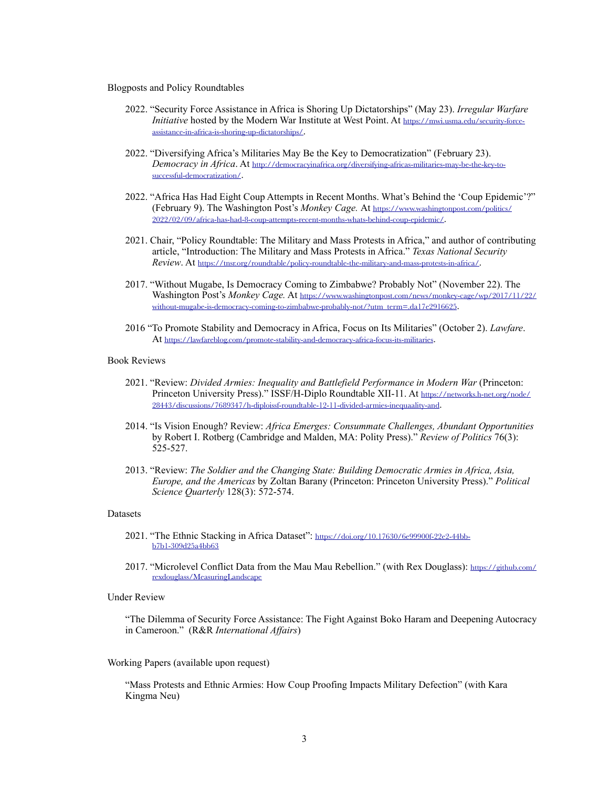#### Blogposts and Policy Roundtables

- 2022. "Security Force Assistance in Africa is Shoring Up Dictatorships" (May 23). *Irregular Warfare Initiative* hosted by the Modern War Institute at West Point. At [https://mwi.usma.edu/security-force](https://mwi.usma.edu/security-force-assistance-in-africa-is-shoring-up-dictatorships/)[assistance-in-africa-is-shoring-up-dictatorships/](https://mwi.usma.edu/security-force-assistance-in-africa-is-shoring-up-dictatorships/).
- 2022. "Diversifying Africa's Militaries May Be the Key to Democratization" (February 23). *Democracy in Africa*. At [http://democracyinafrica.org/diversifying-africas-militaries-may-be-the-key-to](http://democracyinafrica.org/diversifying-africas-militaries-may-be-the-key-to-successful-democratization/)[successful-democratization/](http://democracyinafrica.org/diversifying-africas-militaries-may-be-the-key-to-successful-democratization/).
- 2022. "Africa Has Had Eight Coup Attempts in Recent Months. What's Behind the 'Coup Epidemic'?" (February 9). The Washington Post's *Monkey Cage.* At [https://www.washingtonpost.com/politics/](https://www.washingtonpost.com/politics/2022/02/09/africa-has-had-8-coup-attempts-recent-months-whats-behind-coup-epidemic/) [2022/02/09/africa-has-had-8-coup-attempts-recent-months-whats-behind-coup-epidemic/](https://www.washingtonpost.com/politics/2022/02/09/africa-has-had-8-coup-attempts-recent-months-whats-behind-coup-epidemic/).
- 2021. Chair, "Policy Roundtable: The Military and Mass Protests in Africa," and author of contributing article, "Introduction: The Military and Mass Protests in Africa." *Texas National Security Review*. At <https://tnsr.org/roundtable/policy-roundtable-the-military-and-mass-protests-in-africa/>.
- 2017. "Without Mugabe, Is Democracy Coming to Zimbabwe? Probably Not" (November 22). The Washington Post's *Monkey Cage.* At [https://www.washingtonpost.com/news/monkey-cage/wp/2017/11/22/](https://www.washingtonpost.com/news/monkey-cage/wp/2017/11/22/without-mugabe-is-democracy-coming-to-zimbabwe-probably-not/?utm_term=.da17e2916625) [without-mugabe-is-democracy-coming-to-zimbabwe-probably-not/?utm\\_term=.da17e2916625](https://www.washingtonpost.com/news/monkey-cage/wp/2017/11/22/without-mugabe-is-democracy-coming-to-zimbabwe-probably-not/?utm_term=.da17e2916625).
- 2016 "To Promote Stability and Democracy in Africa, Focus on Its Militaries" (October 2). *Lawfare*. At <https://lawfareblog.com/promote-stability-and-democracy-africa-focus-its-militaries>.

### Book Reviews

- 2021. "Review: *Divided Armies: Inequality and Battlefield Performance in Modern War* (Princeton: Princeton University Press)." ISSF/H-Diplo Roundtable XII-11. At [https://networks.h-net.org/node/](https://networks.h-net.org/node/28443/discussions/7689347/h-diploissf-roundtable-12-11-divided-armies-inequaality-and) [28443/discussions/7689347/h-diploissf-roundtable-12-11-divided-armies-inequaality-and](https://networks.h-net.org/node/28443/discussions/7689347/h-diploissf-roundtable-12-11-divided-armies-inequaality-and).
- 2014. "Is Vision Enough? Review: *Africa Emerges: Consummate Challenges, Abundant Opportunities* by Robert I. Rotberg (Cambridge and Malden, MA: Polity Press)." *Review of Politics* 76(3): 525-527.
- 2013. "Review: *The Soldier and the Changing State: Building Democratic Armies in Africa, Asia, Europe, and the Americas* by Zoltan Barany (Princeton: Princeton University Press)." *Political Science Quarterly* 128(3): 572-574.

#### Datasets

- 2021. "The Ethnic Stacking in Africa Dataset": [https://doi.org/10.17630/6e99900f-22e2-44bb](https://doi.org/10.17630/6e99900f-22e2-44bb-b7b1-309d25a4bb63)[b7b1-309d25a4bb63](https://doi.org/10.17630/6e99900f-22e2-44bb-b7b1-309d25a4bb63)
- 2017. "Microlevel Conflict Data from the Mau Mau Rebellion." (with Rex Douglass): [https://github.com/](https://github.com/rexdouglass/MeasuringLandscape) [rexdouglass/MeasuringLandscape](https://github.com/rexdouglass/MeasuringLandscape)

#### Under Review

"The Dilemma of Security Force Assistance: The Fight Against Boko Haram and Deepening Autocracy in Cameroon." (R&R *International Affairs*)

#### Working Papers (available upon request)

"Mass Protests and Ethnic Armies: How Coup Proofing Impacts Military Defection" (with Kara Kingma Neu)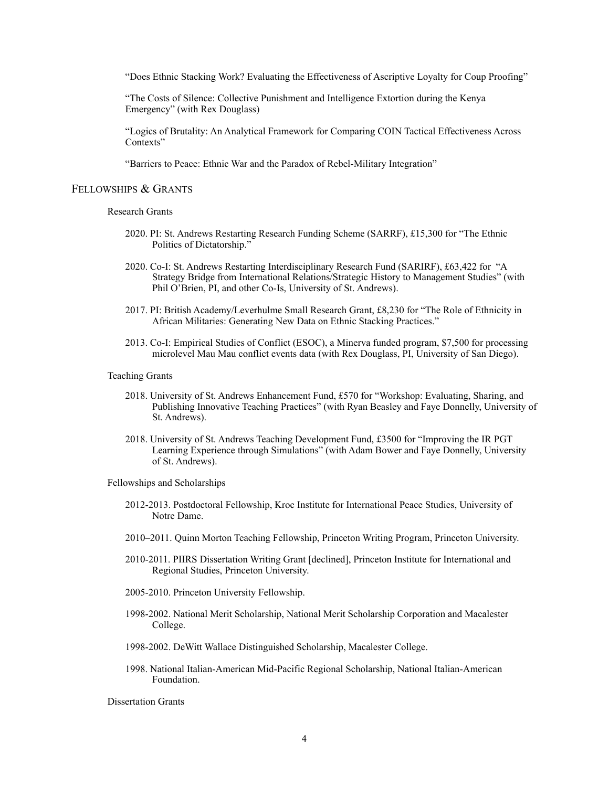"Does Ethnic Stacking Work? Evaluating the Effectiveness of Ascriptive Loyalty for Coup Proofing"

"The Costs of Silence: Collective Punishment and Intelligence Extortion during the Kenya Emergency" (with Rex Douglass)

"Logics of Brutality: An Analytical Framework for Comparing COIN Tactical Effectiveness Across Contexts"

"Barriers to Peace: Ethnic War and the Paradox of Rebel-Military Integration"

### FELLOWSHIPS & GRANTS

#### Research Grants

- 2020. PI: St. Andrews Restarting Research Funding Scheme (SARRF), £15,300 for "The Ethnic Politics of Dictatorship."
- 2020. Co-I: St. Andrews Restarting Interdisciplinary Research Fund (SARIRF), £63,422 for "A Strategy Bridge from International Relations/Strategic History to Management Studies" (with Phil O'Brien, PI, and other Co-Is, University of St. Andrews).
- 2017. PI: British Academy/Leverhulme Small Research Grant, £8,230 for "The Role of Ethnicity in African Militaries: Generating New Data on Ethnic Stacking Practices."
- 2013. Co-I: Empirical Studies of Conflict (ESOC), a Minerva funded program, \$7,500 for processing microlevel Mau Mau conflict events data (with Rex Douglass, PI, University of San Diego).

### Teaching Grants

- 2018. University of St. Andrews Enhancement Fund, £570 for "Workshop: Evaluating, Sharing, and Publishing Innovative Teaching Practices" (with Ryan Beasley and Faye Donnelly, University of St. Andrews).
- 2018. University of St. Andrews Teaching Development Fund, £3500 for "Improving the IR PGT Learning Experience through Simulations" (with Adam Bower and Faye Donnelly, University of St. Andrews).

Fellowships and Scholarships

- 2012-2013. Postdoctoral Fellowship, Kroc Institute for International Peace Studies, University of Notre Dame.
- 2010–2011. Quinn Morton Teaching Fellowship, Princeton Writing Program, Princeton University.
- 2010-2011. PIIRS Dissertation Writing Grant [declined], Princeton Institute for International and Regional Studies, Princeton University.
- 2005-2010. Princeton University Fellowship.
- 1998-2002. National Merit Scholarship, National Merit Scholarship Corporation and Macalester College.
- 1998-2002. DeWitt Wallace Distinguished Scholarship, Macalester College.
- 1998. National Italian-American Mid-Pacific Regional Scholarship, National Italian-American Foundation.

Dissertation Grants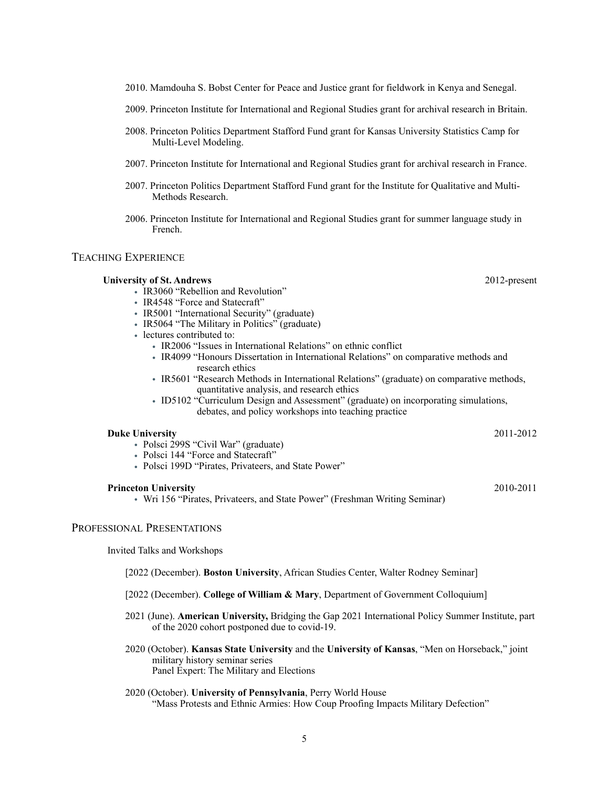2008. Princeton Politics Department Stafford Fund grant for Kansas University Statistics Camp for Multi-Level Modeling.

2010. Mamdouha S. Bobst Center for Peace and Justice grant for fieldwork in Kenya and Senegal.

2009. Princeton Institute for International and Regional Studies grant for archival research in Britain.

- 2007. Princeton Institute for International and Regional Studies grant for archival research in France.
- 2007. Princeton Politics Department Stafford Fund grant for the Institute for Qualitative and Multi-Methods Research.
- 2006. Princeton Institute for International and Regional Studies grant for summer language study in French.

## TEACHING EXPERIENCE

### **University of St. Andrews** 2012-present

- IR3060 "Rebellion and Revolution"
- IR4548 "Force and Statecraft"
- IR5001 "International Security" (graduate)
- IR5064 "The Military in Politics" (graduate)
- lectures contributed to:
	- IR2006 "Issues in International Relations" on ethnic conflict
	- IR4099 "Honours Dissertation in International Relations" on comparative methods and research ethics
	- IR5601 "Research Methods in International Relations" (graduate) on comparative methods, quantitative analysis, and research ethics
	- ID5102 "Curriculum Design and Assessment" (graduate) on incorporating simulations, debates, and policy workshops into teaching practice

### **Duke University** 2011-2012

- Polsci 299S "Civil War" (graduate)
- Polsci 144 "Force and Statecraft"
- Polsci 199D "Pirates, Privateers, and State Power"

### **Princeton University** 2010-2011

• Wri 156 "Pirates, Privateers, and State Power" (Freshman Writing Seminar)

## PROFESSIONAL PRESENTATIONS

Invited Talks and Workshops

[2022 (December). **Boston University**, African Studies Center, Walter Rodney Seminar]

- [2022 (December). **College of William & Mary**, Department of Government Colloquium]
- 2021 (June). **American University,** Bridging the Gap 2021 International Policy Summer Institute, part of the 2020 cohort postponed due to covid-19.
- 2020 (October). **Kansas State University** and the **University of Kansas**, "Men on Horseback," joint military history seminar series Panel Expert: The Military and Elections
- 2020 (October). **University of Pennsylvania**, Perry World House "Mass Protests and Ethnic Armies: How Coup Proofing Impacts Military Defection"

5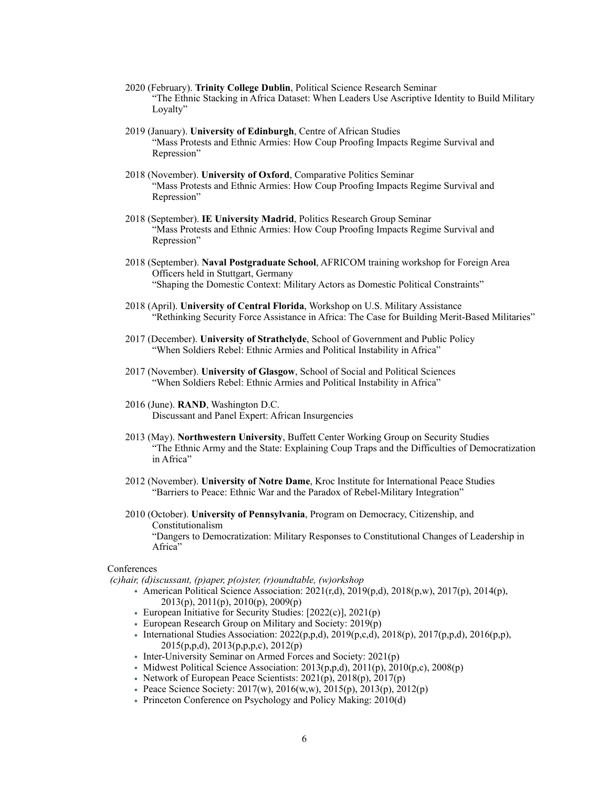- 2020 (February). **Trinity College Dublin**, Political Science Research Seminar "The Ethnic Stacking in Africa Dataset: When Leaders Use Ascriptive Identity to Build Military Loyalty"
- 2019 (January). **University of Edinburgh**, Centre of African Studies "Mass Protests and Ethnic Armies: How Coup Proofing Impacts Regime Survival and Repression"
- 2018 (November). **University of Oxford**, Comparative Politics Seminar "Mass Protests and Ethnic Armies: How Coup Proofing Impacts Regime Survival and Repression"
- 2018 (September). **IE University Madrid**, Politics Research Group Seminar "Mass Protests and Ethnic Armies: How Coup Proofing Impacts Regime Survival and Repression"
- 2018 (September). **Naval Postgraduate School**, AFRICOM training workshop for Foreign Area Officers held in Stuttgart, Germany "Shaping the Domestic Context: Military Actors as Domestic Political Constraints"
- 2018 (April). **University of Central Florida**, Workshop on U.S. Military Assistance "Rethinking Security Force Assistance in Africa: The Case for Building Merit-Based Militaries"
- 2017 (December). **University of Strathclyde**, School of Government and Public Policy "When Soldiers Rebel: Ethnic Armies and Political Instability in Africa"
- 2017 (November). **University of Glasgow**, School of Social and Political Sciences "When Soldiers Rebel: Ethnic Armies and Political Instability in Africa"
- 2016 (June). **RAND**, Washington D.C. Discussant and Panel Expert: African Insurgencies
- 2013 (May). **Northwestern University**, Buffett Center Working Group on Security Studies "The Ethnic Army and the State: Explaining Coup Traps and the Difficulties of Democratization in Africa"
- 2012 (November). **University of Notre Dame**, Kroc Institute for International Peace Studies "Barriers to Peace: Ethnic War and the Paradox of Rebel-Military Integration"
- 2010 (October). **University of Pennsylvania**, Program on Democracy, Citizenship, and Constitutionalism "Dangers to Democratization: Military Responses to Constitutional Changes of Leadership in Africa"

#### **Conferences**

- *(c)hair, (d)iscussant, (p)aper, p(o)ster, (r)oundtable, (w)orkshop*
	- American Political Science Association:  $2021(r,d)$ ,  $2019(p,d)$ ,  $2018(p,w)$ ,  $2017(p)$ ,  $2014(p)$ , 2013(p), 2011(p), 2010(p), 2009(p)
	- European Initiative for Security Studies: [2022(c)], 2021(p)
	- European Research Group on Military and Society: 2019(p)
	- International Studies Association:  $2022(p,p,d)$ ,  $2019(p,c,d)$ ,  $2018(p)$ ,  $2017(p,p,d)$ ,  $2016(p,p)$ , 2015(p,p,d), 2013(p,p,p,c), 2012(p)
	- Inter-University Seminar on Armed Forces and Society: 2021(p)
	- Midwest Political Science Association:  $2013(p,p,d)$ ,  $2011(p)$ ,  $2010(p,c)$ ,  $2008(p)$
	- Network of European Peace Scientists:  $2021(p)$ ,  $2018(p)$ ,  $2017(p)$
	- Peace Science Society:  $2017(w)$ ,  $2016(w,w)$ ,  $2015(p)$ ,  $2013(p)$ ,  $2012(p)$
	- Princeton Conference on Psychology and Policy Making: 2010(d)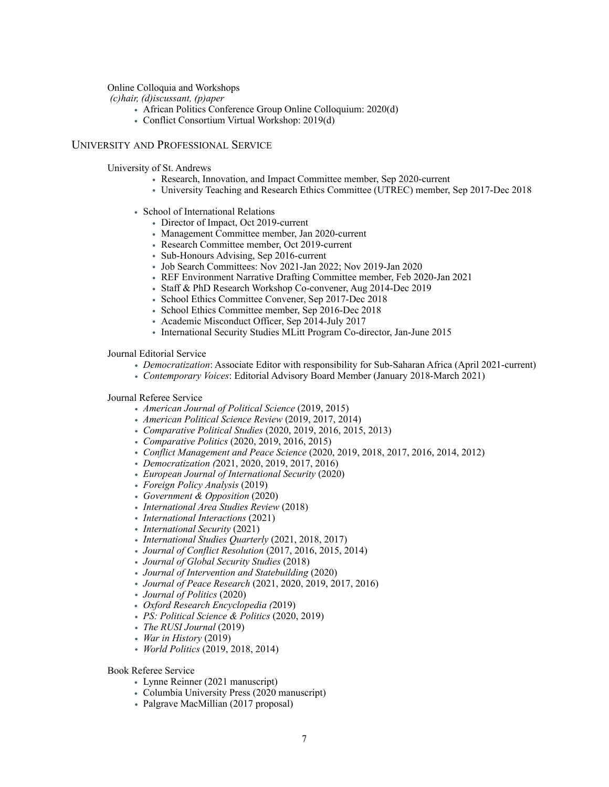## Online Colloquia and Workshops

 *(c)hair, (d)iscussant, (p)aper*

- African Politics Conference Group Online Colloquium: 2020(d)
- Conflict Consortium Virtual Workshop: 2019(d)

### UNIVERSITY AND PROFESSIONAL SERVICE

University of St. Andrews

- Research, Innovation, and Impact Committee member, Sep 2020-current
- University Teaching and Research Ethics Committee (UTREC) member, Sep 2017-Dec 2018
- School of International Relations
	- Director of Impact, Oct 2019-current
	- Management Committee member, Jan 2020-current
	- Research Committee member, Oct 2019-current
	- Sub-Honours Advising, Sep 2016-current
	- Job Search Committees: Nov 2021-Jan 2022; Nov 2019-Jan 2020
	- REF Environment Narrative Drafting Committee member, Feb 2020-Jan 2021
	- Staff & PhD Research Workshop Co-convener, Aug 2014-Dec 2019
	- School Ethics Committee Convener, Sep 2017-Dec 2018
	- School Ethics Committee member, Sep 2016-Dec 2018
	- Academic Misconduct Officer, Sep 2014-July 2017
	- International Security Studies MLitt Program Co-director, Jan-June 2015

Journal Editorial Service

- *• Democratization*: Associate Editor with responsibility for Sub-Saharan Africa (April 2021-current)
- *• Contemporary Voices*: Editorial Advisory Board Member (January 2018-March 2021)

#### Journal Referee Service

- *• American Journal of Political Science* (2019, 2015)
- *• American Political Science Review* (2019, 2017, 2014)
- *• Comparative Political Studies* (2020, 2019, 2016, 2015, 2013)
- *• Comparative Politics* (2020, 2019, 2016, 2015)
- *• Conflict Management and Peace Science* (2020, 2019, 2018, 2017, 2016, 2014, 2012)
- *• Democratization (*2021, 2020, 2019, 2017, 2016)
- *• European Journal of International Security* (2020)
- *• Foreign Policy Analysis* (2019)
- *• Government & Opposition* (2020)
- *• International Area Studies Review* (2018)
- *• International Interactions* (2021)
- *• International Security* (2021)
- *• International Studies Quarterly* (2021, 2018, 2017)
- *• Journal of Conflict Resolution* (2017, 2016, 2015, 2014)
- *• Journal of Global Security Studies* (2018)
- *• Journal of Intervention and Statebuilding* (2020)
- *• Journal of Peace Research* (2021, 2020, 2019, 2017, 2016)
- *• Journal of Politics* (2020)
- *Oxford Research Encyclopedia (*2019)
- *• PS: Political Science & Politics* (2020, 2019)
- *• The RUSI Journal* (2019)
- *• War in History* (2019)
- *• World Politics* (2019, 2018, 2014)

Book Referee Service

- Lynne Reinner (2021 manuscript)
- Columbia University Press (2020 manuscript)
- *•* Palgrave MacMillian (2017 proposal)